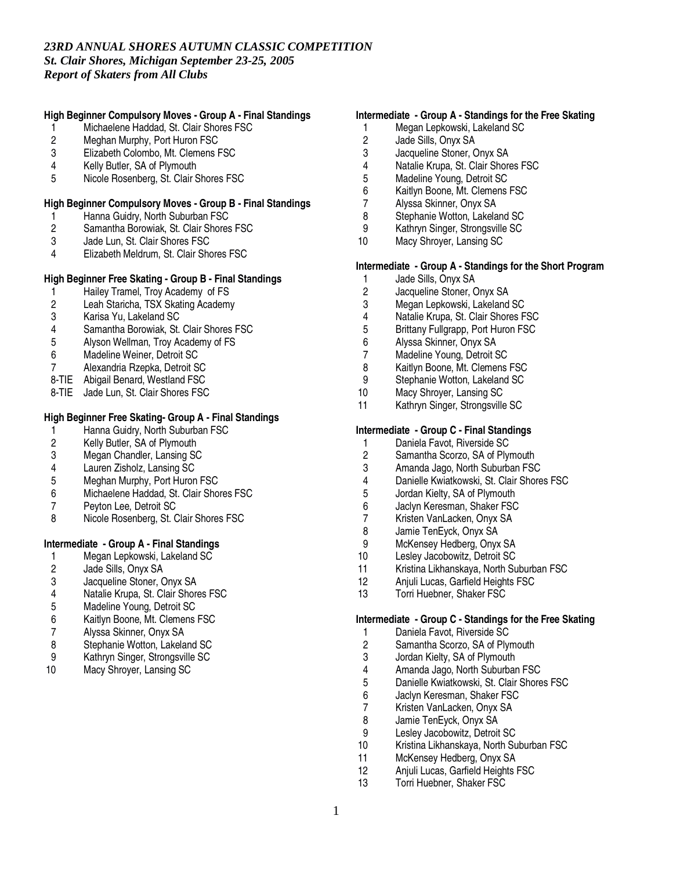# **High Beginner Compulsory Moves - Group A - Final Standings**

- 1 Michaelene Haddad, St. Clair Shores FSC<br>2 Meghan Murphy, Port Huron FSC
- 2 Meghan Murphy, Port Huron FSC<br>3 Elizabeth Colombo. Mt. Clemens F
- Elizabeth Colombo, Mt. Clemens FSC
- 4 Kelly Butler, SA of Plymouth<br>5 Nicole Rosenberg, St. Clair S
- 5 Nicole Rosenberg, St. Clair Shores FSC

### **High Beginner Compulsory Moves - Group B - Final Standings**

- 1 Hanna Guidry, North Suburban FSC<br>2 Samantha Borowiak, St. Clair Shores
- 2 Samantha Borowiak, St. Clair Shores FSC
- 3 Jade Lun, St. Clair Shores FSC<br>4 Elizabeth Meldrum, St. Clair Sho
- Elizabeth Meldrum, St. Clair Shores FSC

# **High Beginner Free Skating - Group B - Final Standings**

- 1 Hailey Tramel, Troy Academy of FS<br>2 Leah Staricha. TSX Skating Academy
- 2 Leah Staricha, TSX Skating Academy<br>3 Karisa Yu. Lakeland SC
- 3 Karisa Yu, Lakeland SC
- 4 Samantha Borowiak, St. Clair Shores FSC<br>5 Alvson Wellman. Trov Academy of FS
- 5 Alyson Wellman, Troy Academy of FS<br>6 Madeline Weiner Detroit SC
- Madeline Weiner, Detroit SC
- 7 Alexandria Rzepka, Detroit SC
- 8-TIE Abigail Benard, Westland FSC
- 8-TIE Jade Lun, St. Clair Shores FSC

# **High Beginner Free Skating- Group A - Final Standings**

- 1 Hanna Guidry, North Suburban FSC<br>2 Kelly Butler, SA of Plymouth
- 2 Kelly Butler, SA of Plymouth<br>3 Megan Chandler, Lansing SC
- Megan Chandler, Lansing SC
- 4 Lauren Zisholz, Lansing SC
- Meghan Murphy, Port Huron FSC
- 6 Michaelene Haddad, St. Clair Shores FSC
- 7 Peyton Lee, Detroit SC<br>8 Nicole Rosenberg, St. 0
- Nicole Rosenberg, St. Clair Shores FSC

# **Intermediate - Group A - Final Standings**

- 1 Megan Lepkowski, Lakeland SC<br>2 Jade Sills, Onyx SA
- 2 Jade Sills, Onyx SA<br>3 Jacqueline Stoner. C
- 3 Jacqueline Stoner, Onyx SA<br>4 Natalie Krupa, St. Clair Shore
- 4 Natalie Krupa, St. Clair Shores FSC<br>5 Madeline Young, Detroit SC
- Madeline Young, Detroit SC
- 6 Kaitlyn Boone, Mt. Clemens FSC<br>7 Alvssa Skinner. Onvx SA
- 
- 7 Alyssa Skinner, Onyx SA<br>8 Stephanie Wotton, Lakela 8 Stephanie Wotton, Lakeland SC<br>9 Kathryn Singer Strongsville SC
- 9 Kathryn Singer, Strongsville SC
- 10 Macy Shroyer, Lansing SC

# **Intermediate - Group A - Standings for the Free Skating**

- 1 Megan Lepkowski, Lakeland SC<br>2 Jade Sills. Onvx SA
- 2 Jade Sills, Onyx SA<br>3 Jacqueline Stoner. C
- Jacqueline Stoner, Onyx SA
- 4 Natalie Krupa, St. Clair Shores FSC<br>5 Madeline Young. Detroit SC
- 5 Madeline Young, Detroit SC<br>6 Kaitlyn Boone, Mt. Clemens
- Kaitlyn Boone, Mt. Clemens FSC
- 7 Alyssa Skinner, Onyx SA
- 8 Stephanie Wotton, Lakeland SC<br>9 Kathryn Singer Strongsville SC
- 9 Kathryn Singer, Strongsville SC<br>10 Macy Shrover, Lansing SC
- Macy Shroyer, Lansing SC

### **Intermediate - Group A - Standings for the Short Program**

- 1 Jade Sills, Onyx SA<br>2 Jacqueline Stoner. C
- 2 Jacqueline Stoner, Onyx SA<br>3 Megan Lepkowski, Lakeland
- 3 Megan Lepkowski, Lakeland SC<br>4 Natalie Krupa, St. Clair Shores F
- 4 Natalie Krupa, St. Clair Shores FSC<br>5 Brittany Fullgrapp, Port Huron FSC
- 5 Brittany Fullgrapp, Port Huron FSC
- 6 Alyssa Skinner, Onyx SA
- Madeline Young, Detroit SC
- 8 Kaitlyn Boone, Mt. Clemens FSC
- 9 Stephanie Wotton, Lakeland SC<br>10 Macy Shrover, Lansing SC
- 10 Macy Shroyer, Lansing SC<br>11 Kathryn Singer, Strongsville
- Kathryn Singer, Strongsville SC

# **Intermediate - Group C - Final Standings**

- 
- 1 Daniela Favot, Riverside SC<br>2 Samantha Scorzo, SA of Plv Samantha Scorzo, SA of Plymouth
- 
- 3 Amanda Jago, North Suburban FSC<br>4 Danielle Kwiatkowski, St. Clair Shore Danielle Kwiatkowski, St. Clair Shores FSC
- 5 Jordan Kielty, SA of Plymouth
- 
- 6 Jaclyn Keresman, Shaker FSC 7 Kristen VanLacken, Onyx SA<br>8 Jamie TenEvck. Onvx SA
- 8 Jamie TenEyck, Onyx SA<br>9 McKensey Hedberg, Onyx
- 9 McKensey Hedberg, Onyx SA<br>10 Leslev Jacobowitz, Detroit SC
- 10 Lesley Jacobowitz, Detroit SC<br>11 Kristina Likhanskava, North Su
- Kristina Likhanskaya, North Suburban FSC
- 12 Anjuli Lucas, Garfield Heights FSC
- 13 Torri Huebner, Shaker FSC

#### **Intermediate - Group C - Standings for the Free Skating**

- 1 Daniela Favot, Riverside SC<br>2 Samantha Scorzo, SA of Plv
- 2 Samantha Scorzo, SA of Plymouth<br>3 Jordan Kielty. SA of Plymouth
- 3 Jordan Kielty, SA of Plymouth
- 4 Amanda Jago, North Suburban FSC<br>5 Danielle Kwiatkowski, St. Clair Shore
- 5 Danielle Kwiatkowski, St. Clair Shores FSC<br>6 Jaclyn Keresman, Shaker FSC
- 
- 6 Jaclyn Keresman, Shaker FSC 7 Kristen VanLacken, Onyx SA<br>8 Jamie TenEvck, Onvx SA
- 8 Jamie TenEyck, Onyx SA<br>9 Leslev Jacobowitz, Detroit
- Lesley Jacobowitz, Detroit SC
- 10 Kristina Likhanskaya, North Suburban FSC
- 11 McKensey Hedberg, Onyx SA<br>12 Aniuli Lucas. Garfield Heights
- Anjuli Lucas, Garfield Heights FSC
- 13 Torri Huebner, Shaker FSC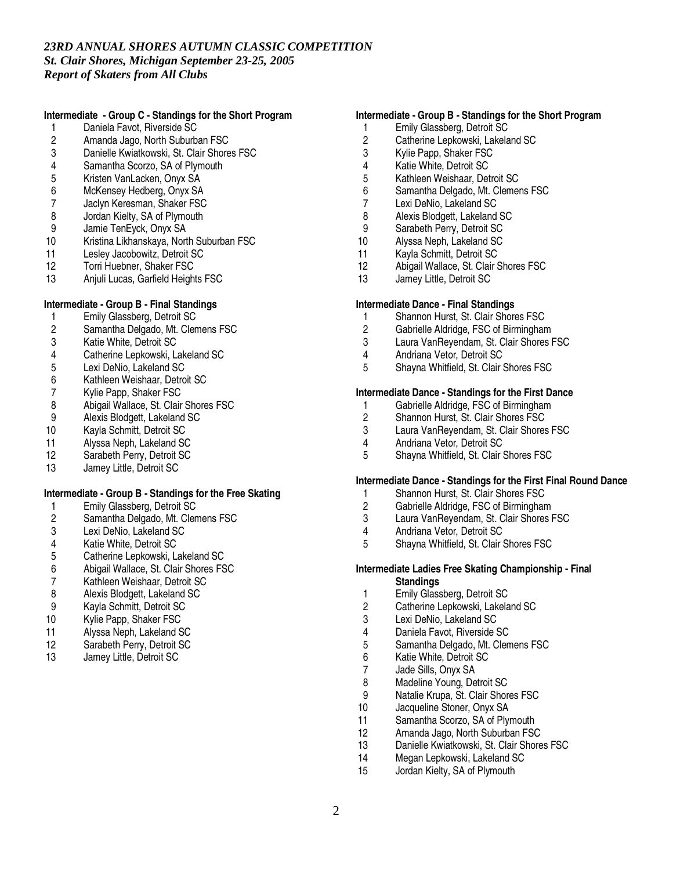# **Intermediate - Group C - Standings for the Short Program**

- 1 Daniela Favot, Riverside SC<br>2 Amanda Jago, North Suburba
- 2 Amanda Jago, North Suburban FSC<br>3 Danielle Kwiatkowski. St. Clair Shore
- Danielle Kwiatkowski, St. Clair Shores FSC
- 4 Samantha Scorzo, SA of Plymouth<br>5 Kristen VanLacken, Onyx SA
- 5 Kristen VanLacken, Onyx SA<br>6 McKensev Hedberg. Onvx SA
- McKensey Hedberg, Onyx SA
- 7 Jaclyn Keresman, Shaker FSC
- 8 Jordan Kielty, SA of Plymouth<br>9 Jamie TenEvck. Onvx SA
- 9 Jamie TenEyck, Onyx SA<br>10 Kristina Likhanskaya, Norl
- 10 Kristina Likhanskaya, North Suburban FSC<br>11 Lesley Jacobowitz, Detroit SC
- 11 Lesley Jacobowitz, Detroit SC<br>12 Torri Huebner, Shaker FSC
- 12 Torri Huebner, Shaker FSC<br>13 Aniuli Lucas, Garfield Heigh
- Anjuli Lucas, Garfield Heights FSC

# **Intermediate - Group B - Final Standings**

- 1 Emily Glassberg, Detroit SC<br>2 Samantha Delgado, Mt. Clen
- 2 Samantha Delgado, Mt. Clemens FSC<br>3 Katie White. Detroit SC
- 3 Katie White, Detroit SC<br>4 Catherine Lenkowski L
- Catherine Lepkowski, Lakeland SC
- 5 Lexi DeNio, Lakeland SC
- 6 Kathleen Weishaar, Detroit SC<br>7 Kylie Papp, Shaker FSC
- 7 Kylie Papp, Shaker FSC<br>8 Abigail Wallace, St. Clair
- Abigail Wallace, St. Clair Shores FSC
- 9 Alexis Blodgett, Lakeland SC<br>10 Kavla Schmitt, Detroit SC
- 10 Kayla Schmitt, Detroit SC<br>11 Alvssa Neph. Lakeland SC
- 11 Alyssa Neph, Lakeland SC<br>12 Sarabeth Perry. Detroit SC
- Sarabeth Perry, Detroit SC
- 13 Jamey Little, Detroit SC

### **Intermediate - Group B - Standings for the Free Skating**

- 1 Emily Glassberg, Detroit SC<br>2 Samantha Delgado, Mt. Clen
- 2 Samantha Delgado, Mt. Clemens FSC<br>3 Lexi DeNio. Lakeland SC
- 3 Lexi DeNio, Lakeland SC
- 4 Katie White, Detroit SC<br>5 Catherine Lepkowski, L
- 5 Catherine Lepkowski, Lakeland SC<br>6 Abigail Wallace, St. Clair Shores FS
- 6 Abigail Wallace, St. Clair Shores FSC
- 7 Kathleen Weishaar, Detroit SC<br>8 Alexis Blodgett, Lakeland SC
- 8 Alexis Blodgett, Lakeland SC<br>9 Kavla Schmitt, Detroit SC
- 9 Kayla Schmitt, Detroit SC
- 10 Kylie Papp, Shaker FSC
- 11 Alyssa Neph, Lakeland SC<br>12 Sarabeth Perry Detroit SC
- 12 Sarabeth Perry, Detroit SC<br>13 Jamey Little Detroit SC
- Jamey Little, Detroit SC

# **Intermediate - Group B - Standings for the Short Program**

- 1 Emily Glassberg, Detroit SC<br>2 Catherine Lepkowski, Lakela
- 2 Catherine Lepkowski, Lakeland SC<br>3 Kylie Papp, Shaker FSC
- Kylie Papp, Shaker FSC
- 4 Katie White, Detroit SC
- 5 Kathleen Weishaar, Detroit SC
- 6 Samantha Delgado, Mt. Clemens FSC
- 7 Lexi DeNio, Lakeland SC
- 8 Alexis Blodgett, Lakeland SC<br>9 Sarabeth Perry Detroit SC
- 9 Sarabeth Perry, Detroit SC<br>10 Alyssa Neph. Lakeland SC
- 
- 10 Alyssa Neph, Lakeland SC<br>11 Kayla Schmitt, Detroit SC
- 11 Kayla Schmitt, Detroit SC<br>12 Abigail Wallace, St. Clair 9 12 Abigail Wallace, St. Clair Shores FSC<br>13 Jamey Little. Detroit SC
- Jamey Little, Detroit SC

#### **Intermediate Dance - Final Standings**

- 1 Shannon Hurst, St. Clair Shores FSC<br>2 Gabrielle Aldridge, FSC of Birminghar
- 2 Gabrielle Aldridge, FSC of Birmingham
- 3 Laura VanReyendam, St. Clair Shores FSC
- 4 Andriana Vetor, Detroit SC
- 5 Shayna Whitfield, St. Clair Shores FSC

# **Intermediate Dance - Standings for the First Dance**

- 1 Gabrielle Aldridge, FSC of Birmingham<br>2 Shannon Hurst, St. Clair Shores FSC
- 2 Shannon Hurst, St. Clair Shores FSC<br>3 Laura VanRevendam. St. Clair Shores
- 3 Laura VanReyendam, St. Clair Shores FSC<br>4 Andriana Vetor Detroit SC
- 4 Andriana Vetor, Detroit SC<br>5 Shavna Whitfield, St. Clair 9
- 5 Shayna Whitfield, St. Clair Shores FSC

#### **Intermediate Dance - Standings for the First Final Round Dance**

- 1 Shannon Hurst, St. Clair Shores FSC
- 
- 2 Gabrielle Aldridge, FSC of Birmingham 3 Laura VanReyendam, St. Clair Shores FSC
- 4 Andriana Vetor, Detroit SC<br>5 Shayna Whitfield, St. Clair (
- 5 Shayna Whitfield, St. Clair Shores FSC

#### **Intermediate Ladies Free Skating Championship - Final Standings**

- 
- 1 Emily Glassberg, Detroit SC<br>2 Catherine Lepkowski, Lakela Catherine Lepkowski, Lakeland SC
- 3 Lexi DeNio, Lakeland SC
- 
- 4 Daniela Favot, Riverside SC<br>5 Samantha Delgado Mt. Clen 5 Samantha Delgado, Mt. Clemens FSC<br>6 Katie White. Detroit SC
- 
- 6 Katie White, Detroit SC<br>7 Jade Sills. Onvx SA 7 Jade Sills, Onyx SA<br>8 Madeline Young, De
- 
- 8 Madeline Young, Detroit SC<br>9 Natalie Krupa St Clair Shor Natalie Krupa, St. Clair Shores FSC
- 
- 10 Jacqueline Stoner, Onyx SA<br>11 Samantha Scorzo, SA of Plv
- 11 Samantha Scorzo, SA of Plymouth<br>12 Amanda Jago, North Suburban FSC Amanda Jago, North Suburban FSC
- 13 Danielle Kwiatkowski, St. Clair Shores FSC
- 
- 14 Megan Lepkowski, Lakeland SC<br>15 Jordan Kielty, SA of Plymouth Jordan Kielty, SA of Plymouth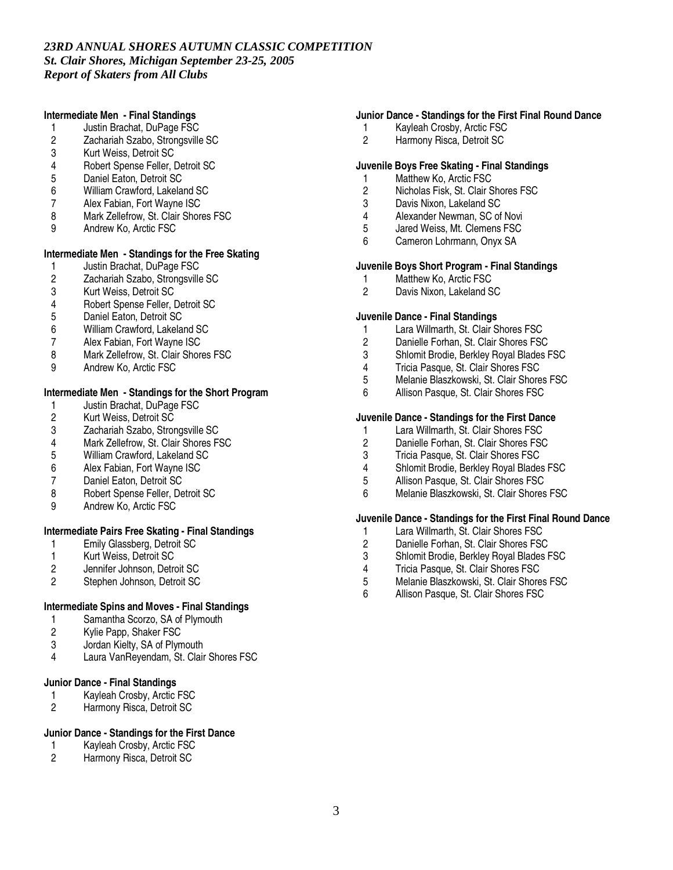### **Intermediate Men - Final Standings**

- 1 Justin Brachat, DuPage FSC<br>2 Zachariah Szabo, Strongsville
- 2 Zachariah Szabo, Strongsville SC<br>3 Kurt Weiss. Detroit SC
- Kurt Weiss, Detroit SC
- 4 Robert Spense Feller, Detroit SC<br>5 Daniel Eaton, Detroit SC
- 5 Daniel Eaton, Detroit SC<br>6 William Crawford, Lakela
- William Crawford, Lakeland SC
- 7 Alex Fabian, Fort Wayne ISC
- 8 Mark Zellefrow, St. Clair Shores FSC<br>9 Andrew Ko Arctic FSC
- Andrew Ko, Arctic FSC

# **Intermediate Men - Standings for the Free Skating**

- 1 Justin Brachat, DuPage FSC<br>2 Zachariah Szabo, Strongsville
- 2 Zachariah Szabo, Strongsville SC<br>3 Kurt Weiss. Detroit SC
- 3 Kurt Weiss, Detroit SC<br>4 Robert Spense Feller. I
- 4 Robert Spense Feller, Detroit SC<br>5 Daniel Eaton, Detroit SC
- 5 Daniel Eaton, Detroit SC
- 6 William Crawford, Lakeland SC
- 7 Alex Fabian, Fort Wayne ISC<br>8 Mark Zellefrow St Clair Shore
- Mark Zellefrow, St. Clair Shores FSC
- 9 Andrew Ko, Arctic FSC

# **Intermediate Men - Standings for the Short Program**

- 1 Justin Brachat, DuPage FSC<br>2 Kurt Weiss, Detroit SC
- 2 Kurt Weiss, Detroit SC<br>3 Zachariah Szabo. Stror
- 3 Zachariah Szabo, Strongsville SC<br>4 Mark Zellefrow. St. Clair Shores F.
- 4 Mark Zellefrow, St. Clair Shores FSC<br>5 William Crawford. Lakeland SC
- 5 William Crawford, Lakeland SC
- 6 Alex Fabian, Fort Wayne ISC<br>7 Daniel Eaton, Detroit SC
- Daniel Eaton, Detroit SC
- 8 Robert Spense Feller, Detroit SC
- 9 Andrew Ko, Arctic FSC

# **Intermediate Pairs Free Skating - Final Standings**

- 1 Emily Glassberg, Detroit SC<br>1 Kurt Weiss. Detroit SC
- 1 Kurt Weiss, Detroit SC<br>2 Jennifer Johnson, Detro
- 2 Jennifer Johnson, Detroit SC<br>2 Stephen Johnson, Detroit SC
- Stephen Johnson, Detroit SC

# **Intermediate Spins and Moves - Final Standings**

- 1 Samantha Scorzo, SA of Plymouth<br>2 Kylie Papp, Shaker FSC
- 2 Kylie Papp, Shaker FSC<br>3 Jordan Kielty SA of Plyn
- 3 Jordan Kielty, SA of Plymouth<br>4 Laura Van Revendam St Clair
- Laura VanReyendam, St. Clair Shores FSC

# **Junior Dance - Final Standings**

- 1 Kayleah Crosby, Arctic FSC<br>2 Harmony Risca, Detroit SC
- Harmony Risca, Detroit SC

# **Junior Dance - Standings for the First Dance**

- 1 Kayleah Crosby, Arctic FSC
- 2 Harmony Risca, Detroit SC

# **Junior Dance - Standings for the First Final Round Dance**

- 1 Kayleah Crosby, Arctic FSC<br>2 Harmony Risca, Detroit SC
- Harmony Risca, Detroit SC

### **Juvenile Boys Free Skating - Final Standings**

- 1 Matthew Ko, Arctic FSC<br>2 Nicholas Fisk, St, Clair S
- 2 Nicholas Fisk, St. Clair Shores FSC
- 3 Davis Nixon, Lakeland SC
- 4 Alexander Newman, SC of Novi<br>5 Jared Weiss. Mt. Clemens FSC
- 5 Jared Weiss, Mt. Clemens FSC<br>6 Cameron Lohrmann. Onvx SA
- 6 Cameron Lohrmann, Onyx SA

### **Juvenile Boys Short Program - Final Standings**

- 1 Matthew Ko, Arctic FSC<br>2 Davis Nixon. Lakeland S
- 2 Davis Nixon, Lakeland SC

### **Juvenile Dance - Final Standings**

- 1 Lara Willmarth, St. Clair Shores FSC
- 2 Danielle Forhan, St. Clair Shores FSC<br>3 Shlomit Brodie Berkley Royal Blades I
- 3 Shlomit Brodie, Berkley Royal Blades FSC
- 4 Tricia Pasque, St. Clair Shores FSC
- 5 Melanie Blaszkowski, St. Clair Shores FSC<br>6 Allison Pasque, St. Clair Shores FSC
- Allison Pasque, St. Clair Shores FSC

### **Juvenile Dance - Standings for the First Dance**

- 1 Lara Willmarth, St. Clair Shores FSC<br>2 Danielle Forhan. St. Clair Shores FSC
- 2 Danielle Forhan, St. Clair Shores FSC<br>3 Tricia Pasque. St. Clair Shores FSC
- 3 Tricia Pasque, St. Clair Shores FSC<br>4 Shlomit Brodie, Berkley Royal Blades
- 4 Shlomit Brodie, Berkley Royal Blades FSC
- Allison Pasque, St. Clair Shores FSC
- 6 Melanie Blaszkowski, St. Clair Shores FSC

### **Juvenile Dance - Standings for the First Final Round Dance**

- 1 Lara Willmarth, St. Clair Shores FSC<br>2 Danielle Forhan, St. Clair Shores FSC
- 2 Danielle Forhan, St. Clair Shores FSC<br>3 Shlomit Brodie. Berklev Roval Blades F
- 3 Shlomit Brodie, Berkley Royal Blades FSC<br>4 Tricia Pasque. St. Clair Shores FSC
- 4 Tricia Pasque, St. Clair Shores FSC<br>5 Melanie Blaszkowski. St. Clair Shore
- 5 Melanie Blaszkowski, St. Clair Shores FSC<br>6 Allison Pasque. St. Clair Shores FSC
- Allison Pasque, St. Clair Shores FSC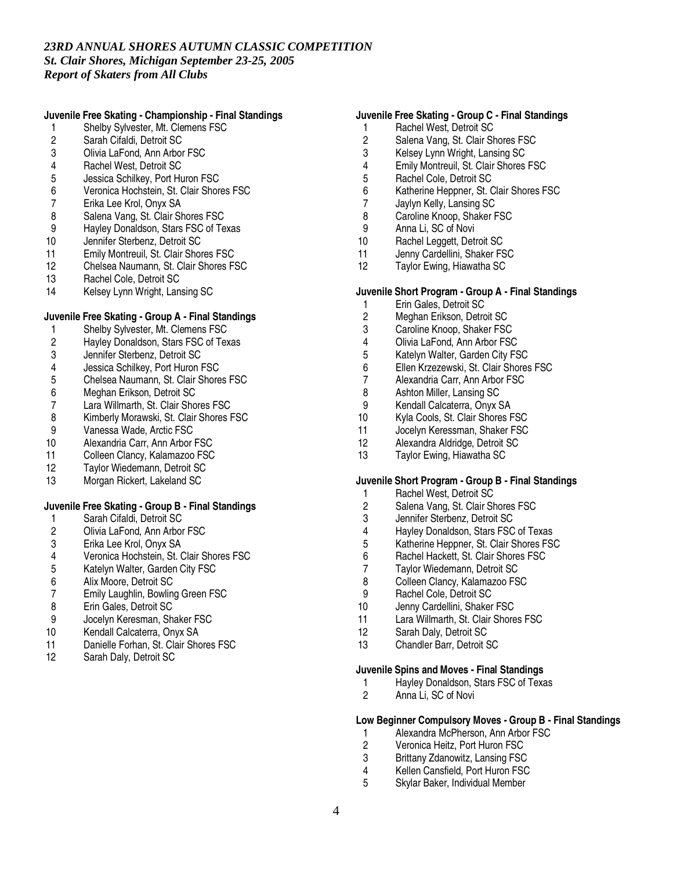# **Juvenile Free Skating - Championship - Final Standings**

- 1 Shelby Sylvester, Mt. Clemens FSC<br>2 Sarah Cifaldi, Detroit SC
- 2 Sarah Cifaldi, Detroit SC<br>3 Olivia LaFond. Ann Arbor
- 3 Olivia LaFond, Ann Arbor FSC
- 4 Rachel West, Detroit SC<br>5 Jessica Schilkey, Port Hu
- 5 Jessica Schilkey, Port Huron FSC<br>6 Veronica Hochstein, St. Clair Shor
- Veronica Hochstein, St. Clair Shores FSC
- 7 Erika Lee Krol, Onyx SA
- 8 Salena Vang, St. Clair Shores FSC<br>9 Havlev Donaldson. Stars FSC of Te
- 9 Hayley Donaldson, Stars FSC of Texas<br>10 Jennifer Sterbenz, Detroit SC
- 10 Jennifer Sterbenz, Detroit SC<br>11 Emily Montreuil, St. Clair Shor
- 11 Emily Montreuil, St. Clair Shores FSC<br>12 Chelsea Naumann. St. Clair Shores F.
- 12 Chelsea Naumann, St. Clair Shores FSC<br>13 Rachel Cole. Detroit SC
- 13 Rachel Cole, Detroit SC<br>14 Kelsev Lynn Wright, Lang
- Kelsey Lynn Wright, Lansing SC

# **Juvenile Free Skating - Group A - Final Standings**

- 
- 1 Shelby Sylvester, Mt. Clemens FSC<br>2 Hayley Donaldson, Stars FSC of Tex 2 Hayley Donaldson, Stars FSC of Texas<br>3 Jennifer Sterbenz. Detroit SC
- 3 Jennifer Sterbenz, Detroit SC
- 
- 4 Jessica Schilkey, Port Huron FSC 5 Chelsea Naumann, St. Clair Shores FSC<br>6 Meghan Erikson, Detroit SC
- 
- 6 Meghan Erikson, Detroit SC
- 7 Lara Willmarth, St. Clair Shores FSC<br>8 Kimberly Morawski, St. Clair Shores I 8 Kimberly Morawski, St. Clair Shores FSC<br>9 Vanessa Wade. Arctic FSC
- 
- 9 Vanessa Wade, Arctic FSC<br>10 Alexandria Carr. Ann Arbor Alexandria Carr, Ann Arbor FSC
- 11 Colleen Clancy, Kalamazoo FSC
- 
- 12 Taylor Wiedemann, Detroit SC<br>13 Morgan Rickert, Lakeland SC Morgan Rickert, Lakeland SC

# **Juvenile Free Skating - Group B - Final Standings**

- 1 Sarah Cifaldi, Detroit SC<br>2 Olivia LaFond. Ann Arbor
- 2 Olivia LaFond, Ann Arbor FSC<br>3 Erika Lee Krol, Onyx SA
- 3 Erika Lee Krol, Onyx SA
- 4 Veronica Hochstein, St. Clair Shores FSC<br>5 Katelyn Walter. Garden City FSC
- 5 Katelyn Walter, Garden City FSC<br>6 Alix Moore. Detroit SC
- 6 Alix Moore, Detroit SC<br>7 Emily Laughlin, Bowlin
- 7 Emily Laughlin, Bowling Green FSC<br>8 Erin Gales. Detroit SC
- 8 Erin Gales, Detroit SC<br>9 Jocelyn Keresman, Sh
- Jocelyn Keresman, Shaker FSC
- 10 Kendall Calcaterra, Onyx SA<br>11 Danielle Forhan St Clair Sho
- 11 Danielle Forhan, St. Clair Shores FSC<br>12 Sarah Daly Detroit SC
- Sarah Daly, Detroit SC

# **Juvenile Free Skating - Group C - Final Standings**

- 1 Rachel West, Detroit SC<br>2 Salena Vang, St. Clair Sh
- 2 Salena Vang, St. Clair Shores FSC<br>3 Kelsev Lynn Wright. Lansing SC
- 3 Kelsey Lynn Wright, Lansing SC
- 4 Emily Montreuil, St. Clair Shores FSC<br>5 Rachel Cole. Detroit SC
- 5 Rachel Cole, Detroit SC<br>6 Katherine Heppner, St. 0
- Katherine Heppner, St. Clair Shores FSC
- 7 Jaylyn Kelly, Lansing SC
- 8 Caroline Knoop, Shaker FSC<br>9 Anna Li SC of Novi
- 9 Anna Li, SC of Novi<br>10 Rachel Leggett, Det
- 10 Rachel Leggett, Detroit SC<br>11 Jenny Cardellini, Shaker FS
- 11 Jenny Cardellini, Shaker FSC<br>12 Tavlor Ewing, Hiawatha SC
- Taylor Ewing, Hiawatha SC

### **Juvenile Short Program - Group A - Final Standings**

- 1 Erin Gales, Detroit SC<br>2 Meghan Erikson, Detro
- 2 Meghan Erikson, Detroit SC<br>3 Caroline Knoop, Shaker FSC
- Caroline Knoop, Shaker FSC
- 4 Olivia LaFond, Ann Arbor FSC<br>5 Katelyn Walter Garden City FS
- 5 Katelyn Walter, Garden City FSC
- 6 Ellen Krzezewski, St. Clair Shores FSC
- 7 Alexandria Carr, Ann Arbor FSC<br>8 Ashton Miller. Lansing SC
- 8 Ashton Miller, Lansing SC<br>9 Kendall Calcaterra, Onvx 9
- 9 Kendall Calcaterra, Onyx SA
- 10 Kyla Cools, St. Clair Shores FSC<br>11 Jocelyn Keressman, Shaker FSC
- 11 Jocelyn Keressman, Shaker FSC<br>12 Alexandra Aldridge. Detroit SC
- Alexandra Aldridge, Detroit SC
- 13 Taylor Ewing, Hiawatha SC

### **Juvenile Short Program - Group B - Final Standings**

- 1 Rachel West, Detroit SC
- 2 Salena Vang, St. Clair Shores FSC<br>3 Jennifer Sterbenz, Detroit SC
- 3 Jennifer Sterbenz, Detroit SC<br>4 Havlev Donaldson, Stars FSC
- 
- 4 Hayley Donaldson, Stars FSC of Texas<br>5 Katherine Heppner, St. Clair Shores FS 5 Katherine Heppner, St. Clair Shores FSC<br>6 Rachel Hackett, St. Clair Shores FSC
- 6 Rachel Hackett, St. Clair Shores FSC<br>7 Tavlor Wiedemann. Detroit SC
- 7 Taylor Wiedemann, Detroit SC<br>8 Colleen Clancv. Kalamazoo FS
- 8 Colleen Clancy, Kalamazoo FSC<br>9 Rachel Cole, Detroit SC
- 9 Rachel Cole, Detroit SC<br>10 Jenny Cardellini, Shaker
- Jenny Cardellini, Shaker FSC
- 11 Lara Willmarth, St. Clair Shores FSC
- 12 Sarah Daly, Detroit SC
- 13 Chandler Barr, Detroit SC

#### **Juvenile Spins and Moves - Final Standings**

- 1 Hayley Donaldson, Stars FSC of Texas<br>2 Anna Li. SC of Novi
- 2 Anna Li, SC of Novi

### **Low Beginner Compulsory Moves - Group B - Final Standings**

- 1 Alexandra McPherson, Ann Arbor FSC<br>2 Veronica Heitz. Port Huron FSC
- 2 Veronica Heitz, Port Huron FSC
- 3 Brittany Zdanowitz, Lansing FSC<br>4 Kellen Cansfield, Port Huron FSC
- 4 Kellen Cansfield, Port Huron FSC<br>5 Skylar Baker Individual Member
- 5 Skylar Baker, Individual Member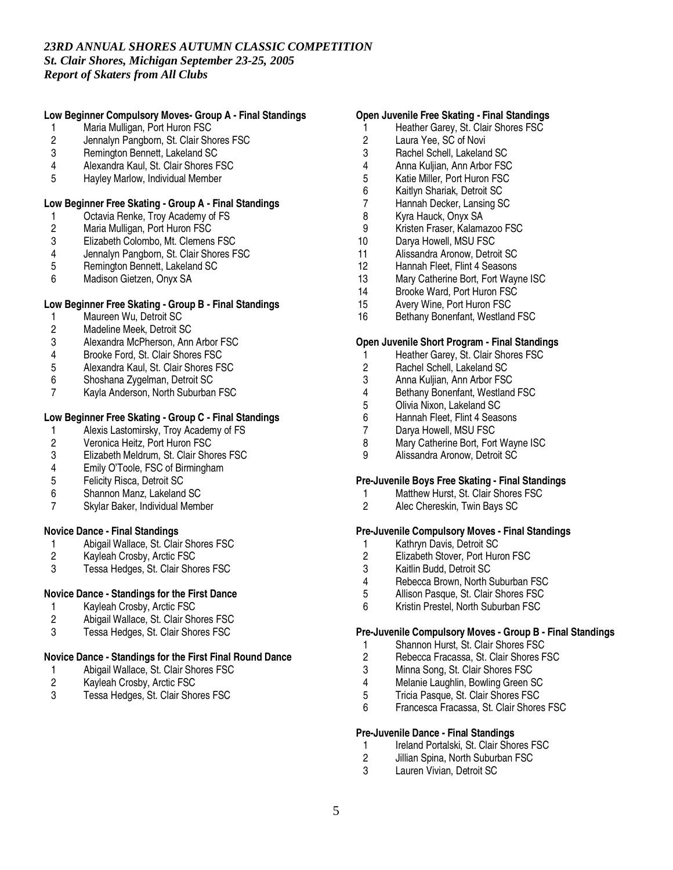### **Low Beginner Compulsory Moves- Group A - Final Standings**

- 1 Maria Mulligan, Port Huron FSC<br>2 Jennalyn Pangborn, St. Clair Sho
- 2 Jennalyn Pangborn, St. Clair Shores FSC<br>3 Remington Bennett. Lakeland SC
- 3 Remington Bennett, Lakeland SC
- 4 Alexandra Kaul, St. Clair Shores FSC<br>5 Havlev Marlow. Individual Member
- 5 Hayley Marlow, Individual Member

### **Low Beginner Free Skating - Group A - Final Standings**

- 1 Octavia Renke, Troy Academy of FS<br>2 Maria Mulligan, Port Huron FSC
- 2 Maria Mulligan, Port Huron FSC
- 3 Elizabeth Colombo, Mt. Clemens FSC<br>4 Jennalyn Pangborn, St. Clair Shores F.
- 4 Jennalyn Pangborn, St. Clair Shores FSC
- 5 Remington Bennett, Lakeland SC<br>6 Madison Gietzen. Onvx SA
- 6 Madison Gietzen, Onyx SA

# **Low Beginner Free Skating - Group B - Final Standings**

- 1 Maureen Wu, Detroit SC<br>2 Madeline Meek, Detroit S
- 2 Madeline Meek, Detroit SC<br>3 Alexandra McPherson. Ann
- 3 Alexandra McPherson, Ann Arbor FSC<br>4 Brooke Ford St Clair Shores FSC
- 4 Brooke Ford, St. Clair Shores FSC<br>5 Alexandra Kaul, St. Clair Shores FS
- 5 Alexandra Kaul, St. Clair Shores FSC
- 6 Shoshana Zygelman, Detroit SC<br>7 Kavla Anderson, North Suburban
- Kayla Anderson, North Suburban FSC

### **Low Beginner Free Skating - Group C - Final Standings**

- 1 Alexis Lastomirsky, Troy Academy of FS<br>2 Veronica Heitz. Port Huron FSC
- 2 Veronica Heitz, Port Huron FSC<br>3 Elizabeth Meldrum. St. Clair Sho
- 3 Elizabeth Meldrum, St. Clair Shores FSC
- 4 Emily O'Toole, FSC of Birmingham<br>5 Felicity Risca. Detroit SC
- 5 Felicity Risca, Detroit SC
- 6 Shannon Manz, Lakeland SC
- 7 Skylar Baker, Individual Member

#### **Novice Dance - Final Standings**

- 1 Abigail Wallace, St. Clair Shores FSC<br>2 Kayleah Crosby, Arctic FSC
- 
- 2 Kayleah Crosby, Arctic FSC<br>3 Tessa Hedges, St. Clair Sho Tessa Hedges, St. Clair Shores FSC

# **Novice Dance - Standings for the First Dance**

- 
- 1 Kayleah Crosby, Arctic FSC<br>2 Abigail Wallace, St. Clair Sho 2 Abigail Wallace, St. Clair Shores FSC
- 3 Tessa Hedges, St. Clair Shores FSC

### **Novice Dance - Standings for the First Final Round Dance**

- 1 Abigail Wallace, St. Clair Shores FSC<br>2 Kayleah Crosby, Arctic FSC
- 2 Kayleah Crosby, Arctic FSC<br>3 Tessa Hedges St Clair Sho
- Tessa Hedges, St. Clair Shores FSC

#### **Open Juvenile Free Skating - Final Standings**

- 1 Heather Garey, St. Clair Shores FSC<br>2 Laura Yee. SC of Novi
- 2 Laura Yee, SC of Novi<br>3 Rachel Schell, Lakelan
- 3 Rachel Schell, Lakeland SC
- 4 Anna Kuljian, Ann Arbor FSC<br>5 Katie Miller, Port Huron FSC
- 5 Katie Miller, Port Huron FSC<br>6 Kaitlyn Shariak, Detroit SC
- 6 Kaitlyn Shariak, Detroit SC
- 7 Hannah Decker, Lansing SC
- 8 Kyra Hauck, Onyx SA<br>9 Kristen Fraser. Kalama
- 9 Kristen Fraser, Kalamazoo FSC<br>10 Darva Howell. MSU FSC
- 10 Darya Howell, MSU FSC<br>11 Alissandra Aronow, Detro
- 11 Alissandra Aronow, Detroit SC<br>12 Hannah Fleet. Flint 4 Seasons
- 12 Hannah Fleet, Flint 4 Seasons<br>13 Mary Catherine Bort. Fort Wavr
- 13 Mary Catherine Bort, Fort Wayne ISC<br>14 Brooke Ward, Port Huron FSC
- Brooke Ward, Port Huron FSC
- 15 Avery Wine, Port Huron FSC
- 16 Bethany Bonenfant, Westland FSC

### **Open Juvenile Short Program - Final Standings**

- 1 Heather Garey, St. Clair Shores FSC
- 2 Rachel Schell, Lakeland SC
- 3 Anna Kuljian, Ann Arbor FSC<br>4 Bethany Bonenfant, Westland
- 4 Bethany Bonenfant, Westland FSC<br>5 Olivia Nixon, Lakeland SC
- 5 Olivia Nixon, Lakeland SC<br>6 Hannah Fleet, Flint 4 Seas
- 6 Hannah Fleet, Flint 4 Seasons<br>7 Darva Howell, MSU FSC
- 7 Darya Howell, MSU FSC<br>8 Mary Catherine Bort. Fort
- 8 Mary Catherine Bort, Fort Wayne ISC<br>9 Alissandra Aronow. Detroit SC
- 9 Alissandra Aronow, Detroit SC

### **Pre-Juvenile Boys Free Skating - Final Standings**

- 1 Matthew Hurst, St. Clair Shores FSC
- 2 Alec Chereskin, Twin Bays SC

### **Pre-Juvenile Compulsory Moves - Final Standings**

- 1 Kathryn Davis, Detroit SC<br>2 Elizabeth Stover, Port Hur
- 2 Elizabeth Stover, Port Huron FSC<br>3 Kaitlin Budd. Detroit SC
- 3 Kaitlin Budd, Detroit SC<br>4 Rebecca Brown, North 9
- 4 Rebecca Brown, North Suburban FSC<br>5 Allison Pasque. St. Clair Shores FSC
- 5 Allison Pasque, St. Clair Shores FSC<br>6 Kristin Prestel, North Suburban FSC
- 6 Kristin Prestel, North Suburban FSC

# **Pre-Juvenile Compulsory Moves - Group B - Final Standings**

- 1 Shannon Hurst, St. Clair Shores FSC<br>2 Rebecca Fracassa. St. Clair Shores F
- 2 Rebecca Fracassa, St. Clair Shores FSC
- 3 Minna Song, St. Clair Shores FSC<br>4 Melanie Laughlin, Bowling Green S
- 4 Melanie Laughlin, Bowling Green SC<br>5 Tricia Pasque. St. Clair Shores FSC
- 5 Tricia Pasque, St. Clair Shores FSC
- 6 Francesca Fracassa, St. Clair Shores FSC

#### **Pre-Juvenile Dance - Final Standings**

- 1 Ireland Portalski, St. Clair Shores FSC
- 2 Jillian Spina, North Suburban FSC<br>3 Lauren Vivian Detroit SC
- Lauren Vivian, Detroit SC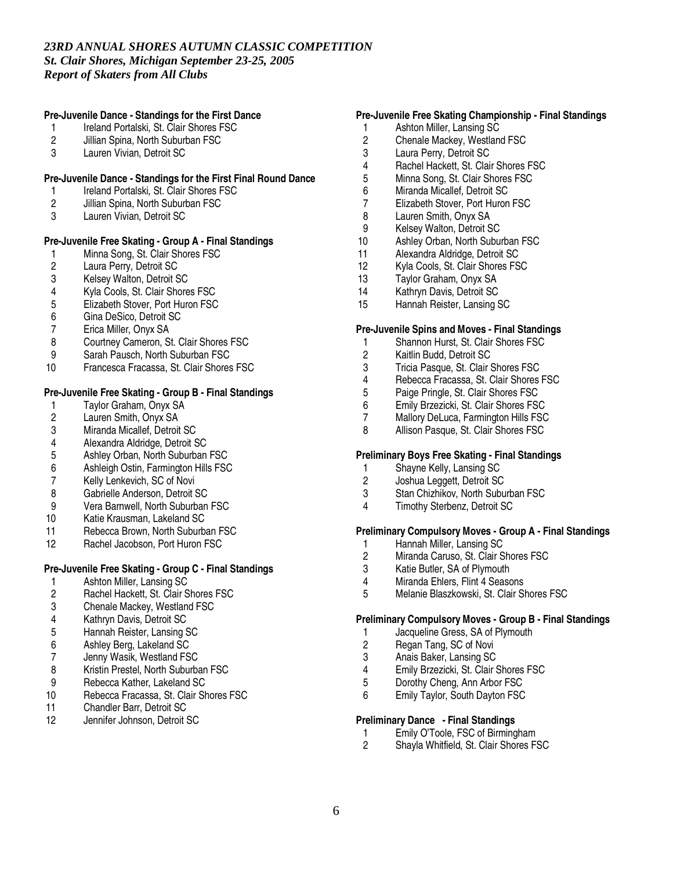# **Pre-Juvenile Dance - Standings for the First Dance**

- 1 Ireland Portalski, St. Clair Shores FSC<br>2 Jillian Spina. North Suburban FSC
- 2 Jillian Spina, North Suburban FSC<br>3 Lauren Vivian. Detroit SC
- Lauren Vivian, Detroit SC

### **Pre-Juvenile Dance - Standings for the First Final Round Dance**

- 1 Ireland Portalski, St. Clair Shores FSC
- 2 Jillian Spina, North Suburban FSC
- 3 Lauren Vivian, Detroit SC

# **Pre-Juvenile Free Skating - Group A - Final Standings**

- 1 Minna Song, St. Clair Shores FSC<br>2 Laura Perry, Detroit SC
- 2 Laura Perry, Detroit SC<br>3 Kelsev Walton, Detroit S
- 
- 3 Kelsey Walton, Detroit SC<br>4 Kyla Cools. St. Clair Shore
- 4 Kyla Cools, St. Clair Shores FSC<br>5 Elizabeth Stover. Port Huron FSC 5 Elizabeth Stover, Port Huron FSC<br>6 Gina DeSico. Detroit SC
- 
- 6 Gina DeSico, Detroit SC 7 Erica Miller, Onyx SA
- 8 Courtney Cameron, St. Clair Shores FSC<br>9 Sarah Pausch North Suburban FSC
- Sarah Pausch, North Suburban FSC
- 10 Francesca Fracassa, St. Clair Shores FSC

# **Pre-Juvenile Free Skating - Group B - Final Standings**

- 1 Taylor Graham, Onyx SA<br>2 Lauren Smith, Onyx SA
- 2 Lauren Smith, Onyx SA<br>3 Miranda Micallef. Detroit
- 
- 3 Miranda Micallef, Detroit SC
- 4 Alexandra Aldridge, Detroit SC<br>5 Ashley Orban. North Suburban Ashley Orban, North Suburban FSC
- 
- 6 Ashleigh Ostin, Farmington Hills FSC<br>7 Kelly Lenkevich. SC of Novi Kelly Lenkevich, SC of Novi
- 8 Gabrielle Anderson, Detroit SC
- 
- 9 Vera Barnwell, North Suburban FSC<br>10 Katie Krausman. Lakeland SC
- 10 Katie Krausman, Lakeland SC<br>11 Rebecca Brown. North Suburb
- 11 Rebecca Brown, North Suburban FSC<br>12 Rachel Jacobson, Port Huron FSC Rachel Jacobson, Port Huron FSC

### **Pre-Juvenile Free Skating - Group C - Final Standings**

- 1 Ashton Miller, Lansing SC<br>2 Rachel Hackett. St. Clair S
- 2 Rachel Hackett, St. Clair Shores FSC<br>3 Chenale Mackey. Westland FSC
- 3 Chenale Mackey, Westland FSC
- 4 Kathryn Davis, Detroit SC
- 5 Hannah Reister, Lansing SC
- 6 Ashley Berg, Lakeland SC
- 7 Jenny Wasik, Westland FSC<br>8 Kristin Prestel, North Suburba
- 8 Kristin Prestel, North Suburban FSC<br>9 Rebecca Kather. Lakeland SC
- 9 Rebecca Kather, Lakeland SC<br>10 Rebecca Fracassa. St. Clair SI
- Rebecca Fracassa, St. Clair Shores FSC
- 11 Chandler Barr, Detroit SC<br>12 Jennifer Johnson, Detroit
- Jennifer Johnson, Detroit SC

# **Pre-Juvenile Free Skating Championship - Final Standings**

- 1 Ashton Miller, Lansing SC<br>2 Chenale Mackev. Westlan
- 2 Chenale Mackey, Westland FSC<br>3 Laura Perry. Detroit SC
- Laura Perry, Detroit SC
- 4 Rachel Hackett, St. Clair Shores FSC<br>5 Minna Song, St. Clair Shores FSC
- 5 Minna Song, St. Clair Shores FSC<br>6 Miranda Micallef. Detroit SC
- Miranda Micallef, Detroit SC
- 7 Elizabeth Stover, Port Huron FSC
- 8 Lauren Smith, Onyx SA<br>9 Kelsev Walton, Detroit S
- 9 Kelsey Walton, Detroit SC
- 10 Ashley Orban, North Suburban FSC<br>11 Alexandra Aldridge, Detroit SC
- 11 Alexandra Aldridge, Detroit SC<br>12 Kyla Cools, St. Clair Shores FS
- 12 Kyla Cools, St. Clair Shores FSC<br>13 Tavlor Graham. Onvx SA
- Taylor Graham, Onyx SA
- 14 Kathryn Davis, Detroit SC
- 15 Hannah Reister, Lansing SC

#### **Pre-Juvenile Spins and Moves - Final Standings**

- 1 Shannon Hurst, St. Clair Shores FSC<br>2 Kaitlin Budd. Detroit SC
- 2 Kaitlin Budd, Detroit SC
- 3 Tricia Pasque, St. Clair Shores FSC
- 4 Rebecca Fracassa, St. Clair Shores FSC<br>5 Paige Pringle. St. Clair Shores FSC
- 
- 5 Paige Pringle, St. Clair Shores FSC<br>6 Emily Brzezicki. St. Clair Shores FSC
- 6 Emily Brzezicki, St. Clair Shores FSC
- 7 Mallory DeLuca, Farmington Hills FSC<br>8 Allison Pasque, St. Clair Shores FSC Allison Pasque, St. Clair Shores FSC

#### **Preliminary Boys Free Skating - Final Standings**

- 1 Shayne Kelly, Lansing SC<br>2 Joshua Leggett, Detroit SC
- 2 Joshua Leggett, Detroit SC
- 3 Stan Chizhikov, North Suburban FSC
- 4 Timothy Sterbenz, Detroit SC

#### **Preliminary Compulsory Moves - Group A - Final Standings**

- 1 Hannah Miller, Lansing SC<br>2 Miranda Caruso, St. Clair S
- 2 Miranda Caruso, St. Clair Shores FSC<br>3 Katie Butler. SA of Plymouth
- 3 Katie Butler, SA of Plymouth<br>4 Miranda Ehlers, Flint 4 Seaso
- 4 Miranda Ehlers, Flint 4 Seasons<br>5 Melanie Blaszkowski, St. Clair S
- 5 Melanie Blaszkowski, St. Clair Shores FSC

#### **Preliminary Compulsory Moves - Group B - Final Standings**

- 1 Jacqueline Gress, SA of Plymouth<br>2 Regan Tang. SC of Novi
- 2 Regan Tang, SC of Novi<br>3 Anais Baker. Lansing SC
- 3 Anais Baker, Lansing SC<br>4 Emily Brzezicki, St. Clair
- 4 Emily Brzezicki, St. Clair Shores FSC<br>5 Dorothy Cheng. Ann Arbor FSC
- 5 Dorothy Cheng, Ann Arbor FSC<br>6 Fmily Taylor South Dayton FSC
- Emily Taylor, South Dayton FSC

#### **Preliminary Dance - Final Standings**

- 1 Emily O'Toole, FSC of Birmingham<br>2 Shavla Whitfield, St. Clair Shores F.
- Shayla Whitfield, St. Clair Shores FSC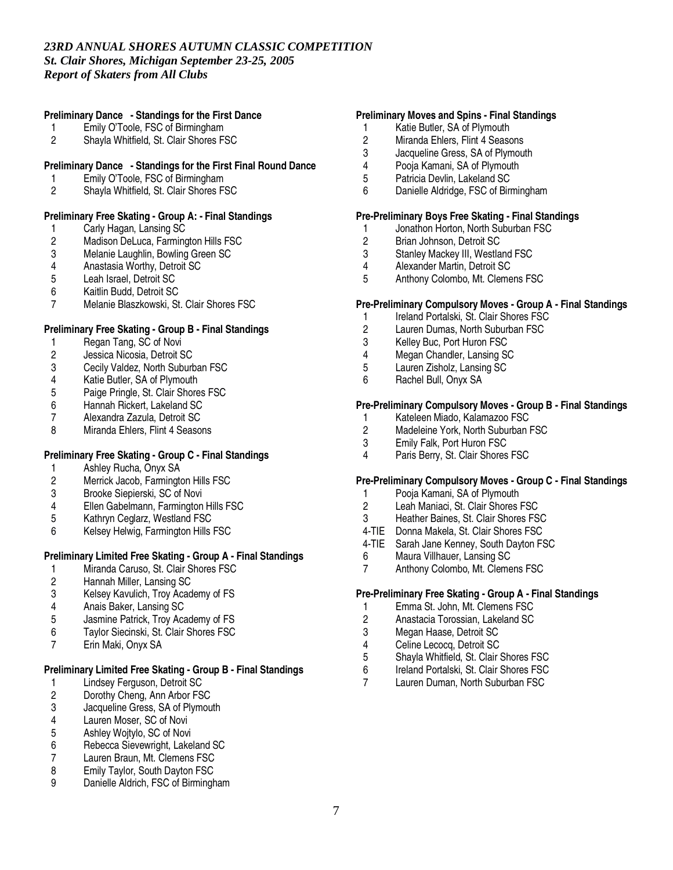# **Preliminary Dance - Standings for the First Dance**

- 1 Emily O'Toole, FSC of Birmingham<br>2 Shavla Whitfield, St. Clair Shores F.
- 2 Shayla Whitfield, St. Clair Shores FSC

### **Preliminary Dance - Standings for the First Final Round Dance**

- 1 Emily O'Toole, FSC of Birmingham<br>2 Shavla Whitfield, St. Clair Shores F.
- 2 Shayla Whitfield, St. Clair Shores FSC

# **Preliminary Free Skating - Group A: - Final Standings**

- 1 Carly Hagan, Lansing SC<br>2 Madison DeLuca, Farming
- 2 Madison DeLuca, Farmington Hills FSC<br>3 Melanie Laughlin, Bowling Green SC
- 3 Melanie Laughlin, Bowling Green SC<br>4 Anastasia Worthy, Detroit SC
- 4 Anastasia Worthy, Detroit SC<br>5 Leah Israel. Detroit SC
- Leah Israel, Detroit SC
- 6 Kaitlin Budd, Detroit SC
- 7 Melanie Blaszkowski, St. Clair Shores FSC

# **Preliminary Free Skating - Group B - Final Standings**

- 1 Regan Tang, SC of Novi<br>2 Jessica Nicosia, Detroit S
- 2 Jessica Nicosia, Detroit SC
- 3 Cecily Valdez, North Suburban FSC<br>4 Katie Butler. SA of Plymouth
- 
- 4 Katie Butler, SA of Plymouth<br>5 Paige Pringle, St. Clair Shore 5 Paige Pringle, St. Clair Shores FSC<br>6 Hannah Rickert, Lakeland SC
- 6 Hannah Rickert, Lakeland SC<br>7 Alexandra Zazula, Detroit SC
- 7 Alexandra Zazula, Detroit SC<br>8 Miranda Ehlers, Flint 4 Seaso
- Miranda Ehlers, Flint 4 Seasons

# **Preliminary Free Skating - Group C - Final Standings**

- 1 Ashley Rucha, Onyx SA<br>2 Merrick Jacob, Farmington
- 2 Merrick Jacob, Farmington Hills FSC
- 3 Brooke Siepierski, SC of Novi
- 4 Ellen Gabelmann, Farmington Hills FSC<br>5 Kathrvn Ceglarz, Westland FSC
- 5 Kathryn Ceglarz, Westland FSC<br>6 Kelsev Helwig, Farmington Hills
- 6 Kelsey Helwig, Farmington Hills FSC

# **Preliminary Limited Free Skating - Group A - Final Standings**

- 1 Miranda Caruso, St. Clair Shores FSC<br>2 Hannah Miller. Lansing SC
- 2 Hannah Miller, Lansing SC
- 3 Kelsey Kavulich, Troy Academy of FS<br>4 Anais Baker. Lansing SC
- 4 Anais Baker, Lansing SC<br>5 Jasmine Patrick, Troy Aca
- 5 Jasmine Patrick, Troy Academy of FS
- 6 Taylor Siecinski, St. Clair Shores FSC
- Erin Maki, Onyx SA

# **Preliminary Limited Free Skating - Group B - Final Standings**

- 1 Lindsey Ferguson, Detroit SC<br>2 Dorothy Cheng, Ann Arbor FS
- 2 Dorothy Cheng, Ann Arbor FSC<br>3 Jacqueline Gress, SA of Plymou
- 3 Jacqueline Gress, SA of Plymouth<br>4 Lauren Moser. SC of Novi
- 4 Lauren Moser, SC of Novi
- 5 Ashley Wojtylo, SC of Novi<br>6 Rebecca Sievewright, Lake
- 6 Rebecca Sievewright, Lakeland SC<br>7 Lauren Braun, Mt. Clemens FSC
- 7 Lauren Braun, Mt. Clemens FSC<br>8 Emily Taylor. South Dayton FSC
- 8 Emily Taylor, South Dayton FSC<br>9 Danielle Aldrich FSC of Birming
- Danielle Aldrich, FSC of Birmingham

### **Preliminary Moves and Spins - Final Standings**

- 1 Katie Butler, SA of Plymouth<br>2 Miranda Ehlers. Flint 4 Seasc
- 2 Miranda Ehlers, Flint 4 Seasons<br>3 Jacqueline Gress. SA of Plymout
- Jacqueline Gress, SA of Plymouth
- 
- 4 Pooja Kamani, SA of Plymouth<br>5 Patricia Devlin. Lakeland SC
- 5 Patricia Devlin, Lakeland SC<br>6 Danielle Aldridge, FSC of Bir Danielle Aldridge, FSC of Birmingham

### **Pre-Preliminary Boys Free Skating - Final Standings**

- 1 Jonathon Horton, North Suburban FSC<br>2 Brian Johnson, Detroit SC
- 2 Brian Johnson, Detroit SC<br>3 Stanley Mackey III, Westla
- 3 Stanley Mackey III, Westland FSC<br>4 Alexander Martin, Detroit SC
- 4 Alexander Martin, Detroit SC<br>5 Anthony Colombo. Mt. Cleme
- Anthony Colombo, Mt. Clemens FSC

# **Pre-Preliminary Compulsory Moves - Group A - Final Standings**

- 1 Ireland Portalski, St. Clair Shores FSC<br>2 Lauren Dumas, North Suburban FSC
- 2 Lauren Dumas, North Suburban FSC<br>3 Kellev Buc, Port Huron FSC
- 
- 3 Kelley Buc, Port Huron FSC<br>4 Megan Chandler Lansing SQ Megan Chandler, Lansing SC
- 5 Lauren Zisholz, Lansing SC
- 6 Rachel Bull, Onyx SA

# **Pre-Preliminary Compulsory Moves - Group B - Final Standings**

- 1 Kateleen Miado, Kalamazoo FSC<br>2 Madeleine York. North Suburban
- 2 Madeleine York, North Suburban FSC<br>3 Emily Falk. Port Huron FSC
- Emily Falk, Port Huron FSC
- 4 Paris Berry, St. Clair Shores FSC

# **Pre-Preliminary Compulsory Moves - Group C - Final Standings**

- 1 Pooja Kamani, SA of Plymouth
- 2 Leah Maniaci, St. Clair Shores FSC<br>3 Heather Baines. St. Clair Shores FS
- Heather Baines, St. Clair Shores FSC
- 4-TIE Donna Makela, St. Clair Shores FSC
- 4-TIE Sarah Jane Kenney, South Dayton FSC
- 6 Maura Villhauer, Lansing SC
- Anthony Colombo, Mt. Clemens FSC

#### **Pre-Preliminary Free Skating - Group A - Final Standings**

- 1 Emma St. John, Mt. Clemens FSC
- 2 Anastacia Torossian, Lakeland SC<br>3 Megan Haase, Detroit SC
- 3 Megan Haase, Detroit SC<br>4 Celine Lecocq Detroit SC
- 4 Celine Lecocq, Detroit SC<br>5 Shavla Whitfield. St. Clair
- 5 Shayla Whitfield, St. Clair Shores FSC
- 6 Ireland Portalski, St. Clair Shores FSC<br>7 Lauren Duman, North Suburban FSC
- Lauren Duman, North Suburban FSC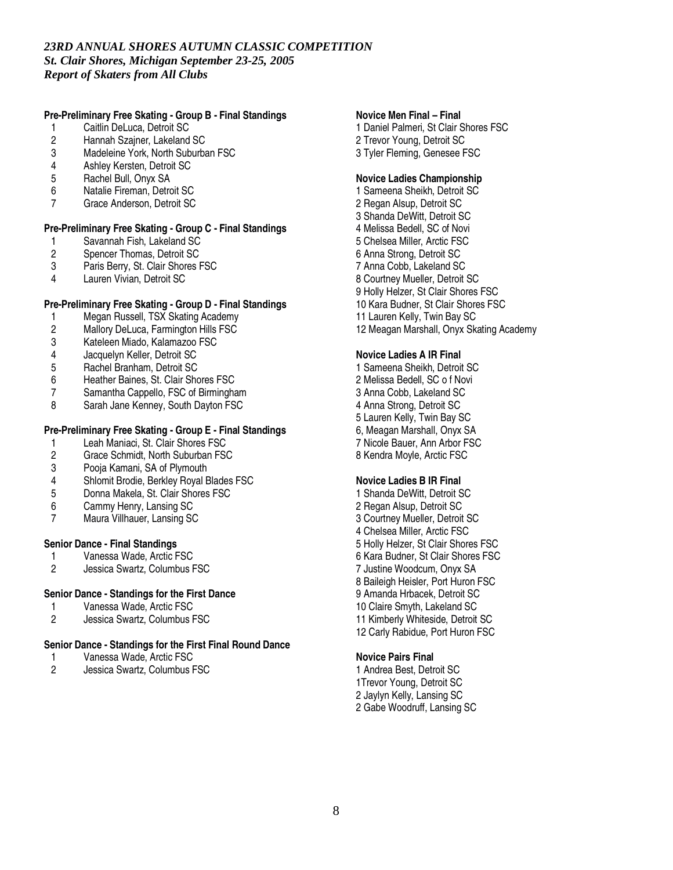# **Pre-Preliminary Free Skating - Group B - Final Standings**

- 1 Caitlin DeLuca, Detroit SC<br>2 Hannah Szajner, Lakeland
- 2 Hannah Szajner, Lakeland SC<br>3 Madeleine York. North Suburba
- Madeleine York, North Suburban FSC
- 4 Ashley Kersten, Detroit SC<br>5 Rachel Bull. Onvx SA
- 5 Rachel Bull, Onyx SA<br>6 Natalie Fireman. Detro
- 6 Natalie Fireman, Detroit SC
- 7 Grace Anderson, Detroit SC

### **Pre-Preliminary Free Skating - Group C - Final Standings**

- 1 Savannah Fish, Lakeland SC<br>2 Spencer Thomas, Detroit SC
- 2 Spencer Thomas, Detroit SC<br>3 Paris Berry, St. Clair Shores I
- 3 Paris Berry, St. Clair Shores FSC<br>4 Lauren Vivian Detroit SC
- Lauren Vivian, Detroit SC

### **Pre-Preliminary Free Skating - Group D - Final Standings**

- 1 Megan Russell, TSX Skating Academy<br>2 Mallory DeLuca, Farmington Hills FSC
- 2 Mallory DeLuca, Farmington Hills FSC<br>3 Kateleen Miado. Kalamazoo FSC
- 3 Kateleen Miado, Kalamazoo FSC
- 4 Jacquelyn Keller, Detroit SC
- 5 Rachel Branham, Detroit SC
- 6 Heather Baines, St. Clair Shores FSC
- 7 Samantha Cappello, FSC of Birmingham<br>8 Sarah Jane Kennev. South Davton FSC
- Sarah Jane Kenney, South Dayton FSC

# **Pre-Preliminary Free Skating - Group E - Final Standings**

- 1 Leah Maniaci, St. Clair Shores FSC<br>2 Grace Schmidt. North Suburban FSC
- 2 Grace Schmidt, North Suburban FSC
- 3 Pooja Kamani, SA of Plymouth
- Shlomit Brodie, Berkley Royal Blades FSC
- 5 Donna Makela, St. Clair Shores FSC
- 6 Cammy Henry, Lansing SC
- Maura Villhauer, Lansing SC

#### **Senior Dance - Final Standings**

- 1 Vanessa Wade, Arctic FSC<br>2 Jessica Swartz, Columbus F
- 2 Jessica Swartz, Columbus FSC

# **Senior Dance - Standings for the First Dance**

- 1 Vanessa Wade, Arctic FSC<br>2 Jessica Swartz, Columbus F
- 2 Jessica Swartz, Columbus FSC

#### **Senior Dance - Standings for the First Final Round Dance**

- 1 Vanessa Wade, Arctic FSC<br>2 Jessica Swartz, Columbus F
- 2 Jessica Swartz, Columbus FSC

### **Novice Men Final – Final**

1 Daniel Palmeri, St Clair Shores FSC 2 Trevor Young, Detroit SC 3 Tyler Fleming, Genesee FSC

# **Novice Ladies Championship**

 Sameena Sheikh, Detroit SC Regan Alsup, Detroit SC Shanda DeWitt, Detroit SC Melissa Bedell, SC of Novi Chelsea Miller, Arctic FSC Anna Strong, Detroit SC Anna Cobb, Lakeland SC Courtney Mueller, Detroit SC Holly Helzer, St Clair Shores FSC Kara Budner, St Clair Shores FSC Lauren Kelly, Twin Bay SC Meagan Marshall, Onyx Skating Academy

### **Novice Ladies A IR Final**

 Sameena Sheikh, Detroit SC Melissa Bedell, SC o f Novi Anna Cobb, Lakeland SC Anna Strong, Detroit SC Lauren Kelly, Twin Bay SC 6, Meagan Marshall, Onyx SA Nicole Bauer, Ann Arbor FSC Kendra Moyle, Arctic FSC

#### **Novice Ladies B IR Final**

 Shanda DeWitt, Detroit SC Regan Alsup, Detroit SC Courtney Mueller, Detroit SC Chelsea Miller, Arctic FSC Holly Helzer, St Clair Shores FSC Kara Budner, St Clair Shores FSC Justine Woodcum, Onyx SA Baileigh Heisler, Port Huron FSC Amanda Hrbacek, Detroit SC Claire Smyth, Lakeland SC Kimberly Whiteside, Detroit SC Carly Rabidue, Port Huron FSC

#### **Novice Pairs Final**

 Andrea Best, Detroit SC 1Trevor Young, Detroit SC Jaylyn Kelly, Lansing SC Gabe Woodruff, Lansing SC